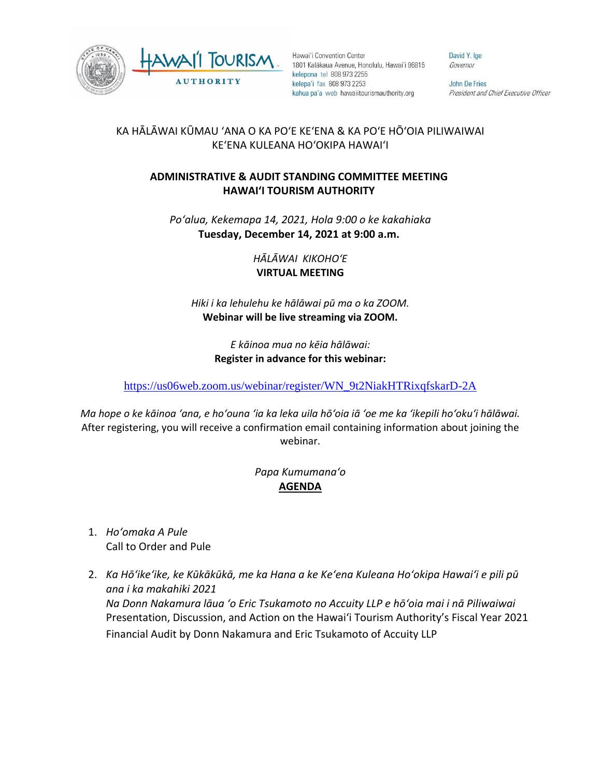



Hawai'i Convention Center 1801 Kalākaua Avenue, Honolulu, Hawai'i 96815 kelepona tel 808 973 2255 kelepa'i fax 808 973 2253 kahua pa'a web hawaiitourismauthority.org

David Y. Ige Governor

John De Fries President and Chief Executive Officer

## KA HĀLĀWAI KŪMAU ʻANA O KA POʻE KEʻENA & KA POʻE HŌʻOIA PILIWAIWAI KEʻENA KULEANA HOʻOKIPA HAWAIʻI

## **ADMINISTRATIVE & AUDIT STANDING COMMITTEE MEETING HAWAI'I TOURISM AUTHORITY**

*Poʻalua, Kekemapa 14, 2021, Hola 9:00 o ke kakahiaka* **Tuesday, December 14, 2021 at 9:00 a.m.**

> *HĀLĀWAI KIKOHOʻE* **VIRTUAL MEETING**

*Hiki i ka lehulehu ke hālāwai pū ma o ka ZOOM.*  **Webinar will be live streaming via ZOOM.**

> *E kāinoa mua no kēia hālāwai:* **Register in advance for this webinar:**

[https://us06web.zoom.us/webinar/register/WN\\_9t2NiakHTRixqfskarD-2A](https://us06web.zoom.us/webinar/register/WN_9t2NiakHTRixqfskarD-2A)

*Ma hope o ke kāinoa ʻana, e hoʻouna ʻia ka leka uila hōʻoia iā ʻoe me ka ʻikepili hoʻokuʻi hālāwai.* After registering, you will receive a confirmation email containing information about joining the webinar.

## *Papa Kumumanaʻo* **AGENDA**

- 1. *Hoʻomaka A Pule* Call to Order and Pule
- 2. *Ka Hōʻikeʻike, ke Kūkākūkā, me ka Hana a ke Keʻena Kuleana Hoʻokipa Hawaiʻi e pili pū ana i ka makahiki 2021 Na Donn Nakamura lāua ʻo Eric Tsukamoto no Accuity LLP e hōʻoia mai i nā Piliwaiwai* Presentation, Discussion, and Action on the Hawai'i Tourism Authority's Fiscal Year 2021 Financial Audit by Donn Nakamura and Eric Tsukamoto of Accuity LLP